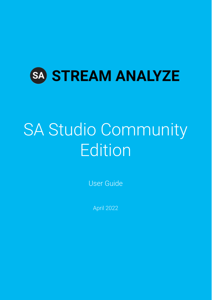

# SA Studio Community Edition

User Guide

April 2022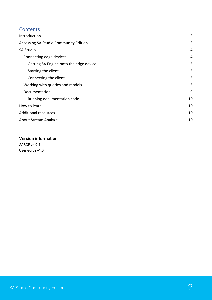## Contents

## **Version information SASCE v4.9.4** User Guide v1.0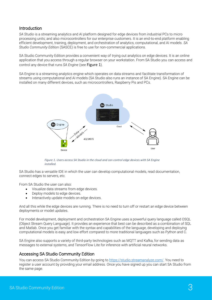## <span id="page-2-0"></span>Introduction

*SA Studio* is a streaming analytics and AI platform designed for edge devices from industrial PCs to micro processing units; and also microcontrollers for our enterprise customers. It is an end-to-end platform enabling efficient development, training, deployment, and orchestration of analytics, computational, and AI models. *SA Studio Community Edition* (SASCE) is free to use for non-commercial applications.

SA Studio Community Edition provides a convenient way of trying out analytics on edge devices. It is an online application that you access through a regular browser on your workstation. From SA Studio you can access and control any device that runs *SA Engine* (see [Figure 1](#page-2-2)).

SA Engine is a streaming analytics engine which operates on data streams and facilitate transformation of streams using computational and AI models (SA Studio also runs an instance of SA Engine). SA Engine can be installed on many different devices, such as microcontrollers, Raspberry Pis and PCs.



<span id="page-2-2"></span>*Figure 1. Users access SA Studio in the cloud and can control edge devices with SA Engine installed.*

SA Studio has a versatile IDE in which the user can develop computational models, read documentation, connect edges to servers, etc.

From SA Studio the user can also:

- Visualize data streams from edge devices.
- Deploy models to edge devices.
- Interactively update models on edge devices.

And all this while the edge devices are running. There is no need to turn off or restart an edge device between deployments or model updates.

For model development, deployment and orchestration SA Engine uses a powerful query language called OSQL (Object Stream Query Language). It provides an experience that best can be described as a combination of SQL and Matlab. Once you get familiar with the syntax and capabilities of the language, developing and deploying computational models is easy and low effort compared to more traditional languages such as Python and C.

SA Engine also supports a variety of third-party technologies such as MQTT and Kafka, for sending data as messages to external systems, and TensorFlow Lite for inference with artificial neural networks.

## <span id="page-2-1"></span>Accessing SA Studio Community Edition

You can access SA Studio Community Edition by going to [https://studio.streamanalyze.com/.](https://studio.streamanalyze.com/) You need to register a user account by providing your email address. Once you have signed up you can start SA Studio from the same page.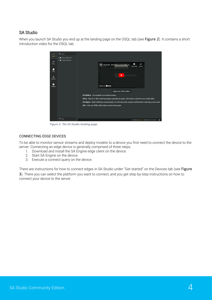## <span id="page-3-0"></span>SA Studio

When you launch SA Studio you end up at the landing page on the OSQL tab (see [Figure 2](#page-3-2)). It contains a short introduction video for the OSQL tab.



*Figure 2. The SA Studio landing page.*

#### <span id="page-3-2"></span><span id="page-3-1"></span>CONNECTING EDGE DEVICES

To be able to monitor sensor streams and deploy models to a device you first need to connect the device to the server. Connecting an edge device is generally comprised of three steps.

- 1. Download and install the SA Engine edge client on the device.
- 2. Start SA Engine on the device.
- 3. Execute a connect query on the device.

There are instructions for how to connect edges in SA Studio under "Get started" on the Devices tab (see Figure [3](#page-4-3)). There you can select the platform you want to connect, and you get step-by-step instructions on how to connect your device to the server.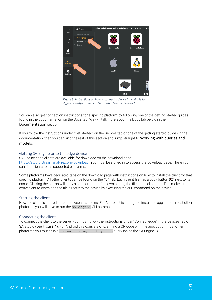

<span id="page-4-3"></span>*Figure 3. Instructions on how to connect a device is available for different platforms under "Get started" on the Devices tab.*

You can also get connection instructions for a specific platform by following one of the getting started guides found in the documentation on the Docs tab. We will talk more about the Docs tab below in the [Documentation](#page-8-0) section.

If you follow the instructions under "Get started" on the Devices tab or one of the getting started guides in the documentation, then you can skip the rest of this section and jump straight to Working with queries and [models](#page-5-0).

#### <span id="page-4-0"></span>Getting SA Engine onto the edge device

SA Engine edge clients are available for download on the download page [https://studio.streamanalyze.com/download.](https://studio.streamanalyze.com/download) You must be signed in to access the download page. There you can find clients for all supported platforms.

Some platforms have dedicated tabs on the download page with instructions on how to install the client for that specific platform. All other clients can be found on the "All" tab. Each client file has a copy button ( $\Box$ ) next to its name. Clicking the button will copy a curl command for downloading the file to the clipboard. This makes it convenient to download the file directly to the device by executing the curl command on the device.

#### <span id="page-4-1"></span>Starting the client

How the client is started differs between platforms. For Android it is enough to install the app, but on most other platforms you will have to run the sa.engine CLI command.

#### <span id="page-4-2"></span>Connecting the client

To connect the client to the server you must follow the instructions under "Connect edge" in the Devices tab of SA Studio (see [Figure 4](#page-5-1)). For Android this consists of scanning a QR code with the app, but on most other platforms you must run a connect\_using\_config\_blob query inside the SA Engine CLI.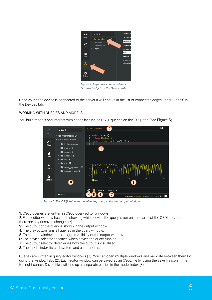<span id="page-5-1"></span>

*Figure 4. Edges are connected under "Connect edge" on the Devices tab.*

Once your edge device is connected to the server it will end up in the list of connected edges under "Edges" in the Devices tab.

#### <span id="page-5-0"></span>WORKING WITH QUERIES AND MODELS

You build models and interact with edges by running OSQL queries on the OSQL tab (see [Figure 5](#page-5-2)).



<span id="page-5-2"></span>*Figure 5. The OSQL tab with model index, query editor and output window.*

- 1: OSQL queries are written in OSQL query editor windows.
- 2: Each editor window has a tab showing which device the query is run on, the name of the OSQL file, and if
- there are any unsaved changes (\*).
- 3: The output of the query is shown in the output window.
- 4: The play button runs all queries in the query window.
- 5: The output window button toggles visibility of the output window.
- 6: The device selector specifies which device the query runs on.
- 7: The output selector determines how the output is visualized.
- 8: The model index lists all system and user models.

Queries are written in query editor windows (1). You can open multiple windows and navigate between them by using the window tabs (2). Each editor window can be saved as an OSQL file by using the save file icon in the top right corner. Saved files will end up as separate entries in the model index (8).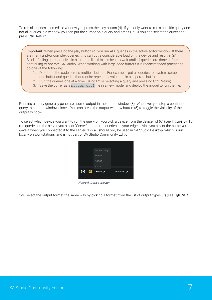To run all queries in an editor window you press the play button (4). If you only want to run a specific query and not all queries in a window you can put the cursor on a query and press F2. Or you can select the query and press Ctrl+Return.

**Important:** When pressing the play button (4) you run ALL queries in the active editor window. If there are many and/or complex queries, this can put a considerable load on the device and result in SA Studio feeling unresponsive. In situations like this it is best to wait until all queries are done before continuing to operate SA Studio. When working with large code buffers it is recommended practice to do one of the following:

- 1. Distribute the code across multiple buffers. For example, put all queries for system setup in one buffer and queries that require repeated evaluation in a separate buffer.
- 2. Run the queries one at a time (using F2 or selecting a query and pressing Ctrl-Return).
- 3. Save the buffer as a master.osql file in a new model and deploy the model to run the file.

Running a query generally generates some output in the output window (3). Whenever you stop a continuous query the output window closes. You can press the output window button (5) to toggle the visibility of the output window.

To select which device you want to run the query on, you pick a device from the device list (6) (see [Figure 6](#page-6-0)). To run queries on the server you select "Server", and to run queries on your edge device you select the name you gave it when you connected it to the server. "Local" should only be used in SA Studio Desktop, which is run locally on workstations, and is not part of SA Studio Community Edition.

<span id="page-6-0"></span>

*Figure 6. Device selector.*

You select the output format the same way by picking a format from the list of output types (7) (see [Figure 7](#page-7-0)).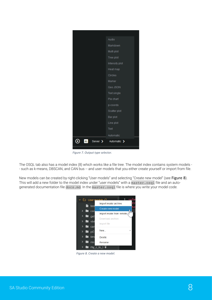

*Figure 7. Output type selector.*

The OSQL tab also has a model index (8) which works like a file tree. The model index contains system models - - such as k-means, DBSCAN, and CAN bus -- and user models that you either create yourself or import from file.

New models can be created by right-clicking "User models" and selecting "Create new model" (see [Figure 8](#page-7-1)). This will add a new folder to the model index under "user models" with a master.osql file and an autogenerated documentation file docs.md. In the master.osql file is where you write your model code.

<span id="page-7-1"></span><span id="page-7-0"></span>

*Figure 8. Create a new model.*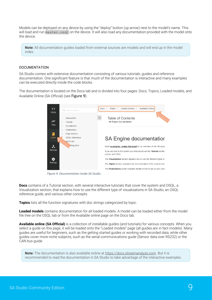Models can be deployed on any device by using the "deploy" button (up arrow) next to the model's name. This will load and run master.osql on the device. It will also load any documentation provided with the model onto the device.

**Note:** All documentation guides loaded from external sources are models and will end up in the model index.

#### <span id="page-8-0"></span>DOCUMENTATION

SA Studio comes with extensive documentation consisting of various tutorials, guides and reference documentation. One significant feature is that much of the documentation is interactive and many examples can be executed directly inside the code blocks.

The documentation is located on the Docs tab and is divided into four pages: Docs, Topics, Loaded models, and Available Online (SA Official) (see [Figure 9](#page-8-1)).



*Figure 9. Documentation inside SA Studio.*

<span id="page-8-1"></span>**Docs** contains of a Tutorial section, with several interactive tutorials that cover the system and OSQL, a Visualization section, that explains how to use the different type of visualizations in SA Studio, an OSQL reference guide, and various other concepts.

**Topics** lists all the function signatures with doc strings categorized by topic.

**Loaded models** contains documentation for all loaded models. A model can be loaded either from the model file tree on the OSQL tab or from the Available online page on the Docs tab.

**Available online (SA Official)** is a collection of installable guides (and tutorials) for various concepts. When you select a guide on this page, it will be loaded onto the "Loaded models" page (all guides are in fact models). Many guides are useful for beginners, such as the getting started guides or working with recorded data, while other guides cover more niche subjects, such as the serial communications guide (Sensor data over RS232) or the CAN bus guide.

**Note:** The documentation is also available online at [https://docs.streamanalyze.com.](https://docs.streamanalyze.com/) But it is recommended to read the documentation in SA Studio to take advantage of the interactive examples.